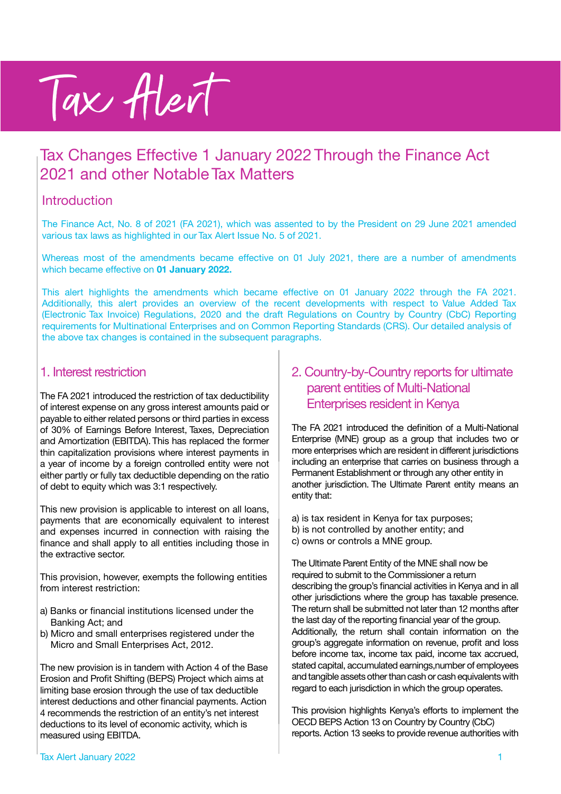# Tax Alert

# Tax Changes Effective 1 January 2022 Through the Finance Act 2021 and other Notable Tax Matters

#### Introduction

The Finance Act, No. 8 of 2021 (FA 2021), which was assented to by the President on 29 June 2021 amended various tax laws as highlighted in our Tax Alert Issue No. 5 of 2021.

Whereas most of the amendments became effective on 01 July 2021, there are a number of amendments which became effective on **01 January 2022.**

This alert highlights the amendments which became effective on 01 January 2022 through the FA 2021. Additionally, this alert provides an overview of the recent developments with respect to Value Added Tax (Electronic Tax Invoice) Regulations, 2020 and the draft Regulations on Country by Country (CbC) Reporting requirements for Multinational Enterprises and on Common Reporting Standards (CRS). Our detailed analysis of the above tax changes is contained in the subsequent paragraphs.

#### 1. Interest restriction

The FA 2021 introduced the restriction of tax deductibility of interest expense on any gross interest amounts paid or payable to either related persons or third parties in excess of 30% of Earnings Before Interest, Taxes, Depreciation and Amortization (EBITDA). This has replaced the former thin capitalization provisions where interest payments in a year of income by a foreign controlled entity were not either partly or fully tax deductible depending on the ratio of debt to equity which was 3:1 respectively.

This new provision is applicable to interest on all loans, payments that are economically equivalent to interest and expenses incurred in connection with raising the finance and shall apply to all entities including those in the extractive sector.

This provision, however, exempts the following entities from interest restriction:

- a) Banks or financial institutions licensed under the Banking Act; and
- b) Micro and small enterprises registered under the Micro and Small Enterprises Act, 2012.

The new provision is in tandem with Action 4 of the Base Erosion and Profit Shifting (BEPS) Project which aims at limiting base erosion through the use of tax deductible interest deductions and other financial payments. Action 4 recommends the restriction of an entity's net interest deductions to its level of economic activity, which is measured using EBITDA.

## 2. Country-by-Country reports for ultimate parent entities of Multi-National Enterprises resident in Kenya

The FA 2021 introduced the definition of a Multi-National Enterprise (MNE) group as a group that includes two or more enterprises which are resident in different jurisdictions including an enterprise that carries on business through a Permanent Establishment or through any other entity in another jurisdiction. The Ultimate Parent entity means an entity that:

a) is tax resident in Kenya for tax purposes; b) is not controlled by another entity; and c) owns or controls a MNE group.

The Ultimate Parent Entity of the MNE shall now be required to submit to the Commissioner a return describing the group's financial activities in Kenya and in all other jurisdictions where the group has taxable presence. The return shall be submitted not later than 12 months after the last day of the reporting financial year of the group. Additionally, the return shall contain information on the group's aggregate information on revenue, profit and loss before income tax, income tax paid, income tax accrued, stated capital, accumulated earnings,number of employees and tangible assets other than cash or cash equivalents with regard to each jurisdiction in which the group operates.

This provision highlights Kenya's efforts to implement the OECD BEPS Action 13 on Country by Country (CbC) reports. Action 13 seeks to provide revenue authorities with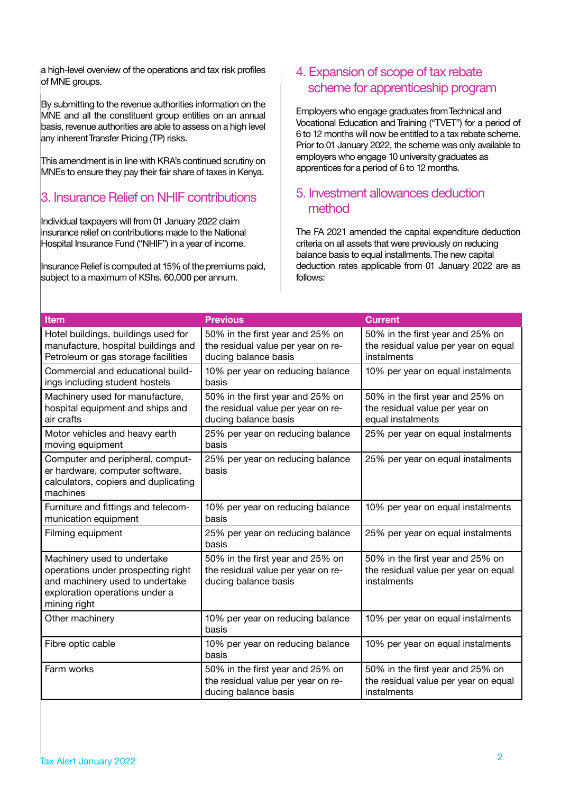a high-level overview of the operations and tax risk profiles of MNE groups.

By submitting to the revenue authorities information on the MNE and all the constituent group entities on an annual basis, revenue authorities are able to assess on a high level any inherent Transfer Pricing (TP) risks.

This amendment is in line with KRA's continued scrutiny on MNEs to ensure they pay their fair share of taxes in Kenya.

## 3. Insurance Relief on NHIF contributions

Individual taxpayers will from 01 January 2022 claim insurance relief on contributions made to the National Hospital Insurance Fund ("NHIF") in a year of income.

Insurance Relief is computed at 15% of the premiums paid, subject to a maximum of KShs. 60,000 per annum.

## 4. Expansion of scope of tax rebate scheme for apprenticeship program

Employers who engage graduates from Technical and Vocational Education and Training ("TVET") for a period of 6 to 12 months will now be entitled to a tax rebate scheme. Prior to 01 January 2022, the scheme was only available to employers who engage 10 university graduates as apprentices for a period of 6 to 12 months.

#### 5. Investment allowances deduction method

The FA 2021 amended the capital expenditure deduction criteria on all assets that were previously on reducing balance basis to equal installments. The new capital deduction rates applicable from 01 January 2022 are as follows:

| <b>Item</b>                                                                                                                                            | <b>Previous</b>                                                                                | <b>Current</b>                                                                          |
|--------------------------------------------------------------------------------------------------------------------------------------------------------|------------------------------------------------------------------------------------------------|-----------------------------------------------------------------------------------------|
| Hotel buildings, buildings used for<br>manufacture, hospital buildings and<br>Petroleum or gas storage facilities                                      | 50% in the first year and 25% on<br>the residual value per year on re-<br>ducing balance basis | 50% in the first year and 25% on<br>the residual value per year on equal<br>instalments |
| Commercial and educational build-<br>ings including student hostels                                                                                    | 10% per year on reducing balance<br>basis                                                      | 10% per year on equal instalments                                                       |
| Machinery used for manufacture,<br>hospital equipment and ships and<br>air crafts                                                                      | 50% in the first year and 25% on<br>the residual value per year on re-<br>ducing balance basis | 50% in the first year and 25% on<br>the residual value per year on<br>equal instalments |
| Motor vehicles and heavy earth<br>moving equipment                                                                                                     | 25% per year on reducing balance<br>basis                                                      | 25% per year on equal instalments                                                       |
| Computer and peripheral, comput-<br>er hardware, computer software,<br>calculators, copiers and duplicating<br>machines                                | 25% per year on reducing balance<br>basis                                                      | 25% per year on equal instalments                                                       |
| Furniture and fittings and telecom-<br>munication equipment                                                                                            | 10% per year on reducing balance<br>basis                                                      | 10% per year on equal instalments                                                       |
| Filming equipment                                                                                                                                      | 25% per year on reducing balance<br>basis                                                      | 25% per year on equal instalments                                                       |
| Machinery used to undertake<br>operations under prospecting right<br>and machinery used to undertake<br>exploration operations under a<br>mining right | 50% in the first year and 25% on<br>the residual value per year on re-<br>ducing balance basis | 50% in the first year and 25% on<br>the residual value per year on equal<br>instalments |
| Other machinery                                                                                                                                        | 10% per year on reducing balance<br>basis                                                      | 10% per year on equal instalments                                                       |
| Fibre optic cable                                                                                                                                      | 10% per year on reducing balance<br>basis                                                      | 10% per year on equal instalments                                                       |
| Farm works                                                                                                                                             | 50% in the first year and 25% on<br>the residual value per year on re-<br>ducing balance basis | 50% in the first year and 25% on<br>the residual value per year on equal<br>instalments |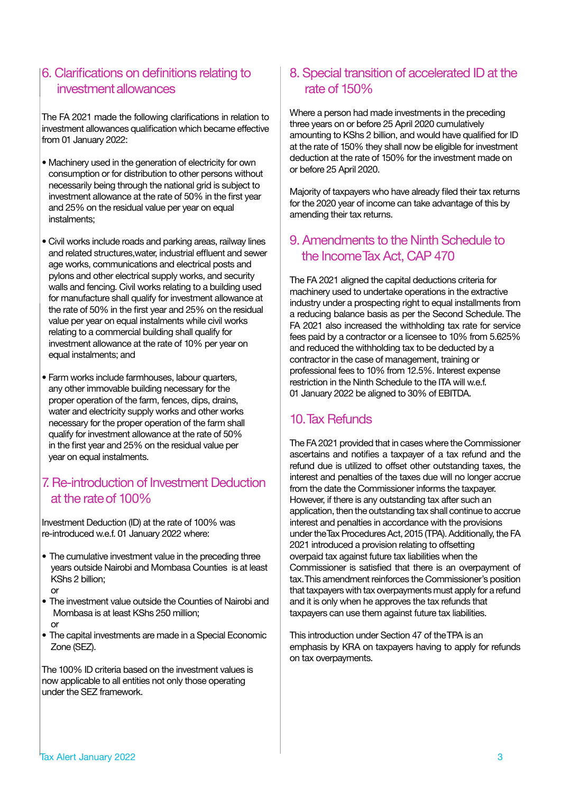### 6. Clarifications on definitions relating to investment allowances

The FA 2021 made the following clarifications in relation to investment allowances qualification which became effective from 01 January 2022:

- Machinery used in the generation of electricity for own consumption or for distribution to other persons without necessarily being through the national grid is subject to investment allowance at the rate of 50% in the first year and 25% on the residual value per year on equal instalments;
- Civil works include roads and parking areas, railway lines and related structures,water, industrial effluent and sewer age works, communications and electrical posts and pylons and other electrical supply works, and security walls and fencing. Civil works relating to a building used for manufacture shall qualify for investment allowance at the rate of 50% in the first year and 25% on the residual value per year on equal instalments while civil works relating to a commercial building shall qualify for investment allowance at the rate of 10% per year on equal instalments; and
- Farm works include farmhouses, labour quarters, any other immovable building necessary for the proper operation of the farm, fences, dips, drains, water and electricity supply works and other works necessary for the proper operation of the farm shall qualify for investment allowance at the rate of 50% in the first year and 25% on the residual value per year on equal instalments.

## 7. Re-introduction of Investment Deduction at the rateof 100%

Investment Deduction (ID) at the rate of 100% was re-introduced w.e.f. 01 January 2022 where:

- The cumulative investment value in the preceding three years outside Nairobi and Mombasa Counties is at least KShs 2 billion;
- or
- The investment value outside the Counties of Nairobi and Mombasa is at least KShs 250 million; or
- The capital investments are made in a Special Economic Zone (SEZ).

The 100% ID criteria based on the investment values is now applicable to all entities not only those operating under the SEZ framework.

## 8. Special transition of accelerated ID at the rate of 150%

Where a person had made investments in the preceding three years on or before 25 April 2020 cumulatively amounting to KShs 2 billion, and would have qualified for ID at the rate of 150% they shall now be eligible for investment deduction at the rate of 150% for the investment made on or before 25 April 2020.

Majority of taxpayers who have already filed their tax returns for the 2020 year of income can take advantage of this by amending their tax returns.

## 9. Amendments to the Ninth Schedule to the Income Tax Act, CAP 470

The FA 2021 aligned the capital deductions criteria for machinery used to undertake operations in the extractive industry under a prospecting right to equal installments from a reducing balance basis as per the Second Schedule. The FA 2021 also increased the withholding tax rate for service fees paid by a contractor or a licensee to 10% from 5.625% and reduced the withholding tax to be deducted by a contractor in the case of management, training or professional fees to 10% from 12.5%. Interest expense restriction in the Ninth Schedule to the ITA will w.e.f. 01 January 2022 be aligned to 30% of EBITDA.

## 10. Tax Refunds

The FA 2021 provided that in cases where the Commissioner ascertains and notifies a taxpayer of a tax refund and the refund due is utilized to offset other outstanding taxes, the interest and penalties of the taxes due will no longer accrue from the date the Commissioner informs the taxpayer. However, if there is any outstanding tax after such an application, then the outstanding tax shall continue to accrue interest and penalties in accordance with the provisions under the Tax Procedures Act, 2015 (TPA). Additionally, the FA 2021 introduced a provision relating to offsetting overpaid tax against future tax liabilities when the Commissioner is satisfied that there is an overpayment of tax. This amendment reinforces the Commissioner's position that taxpayers with tax overpayments must apply for a refund and it is only when he approves the tax refunds that taxpayers can use them against future tax liabilities.

This introduction under Section 47 of the TPA is an emphasis by KRA on taxpayers having to apply for refunds on tax overpayments.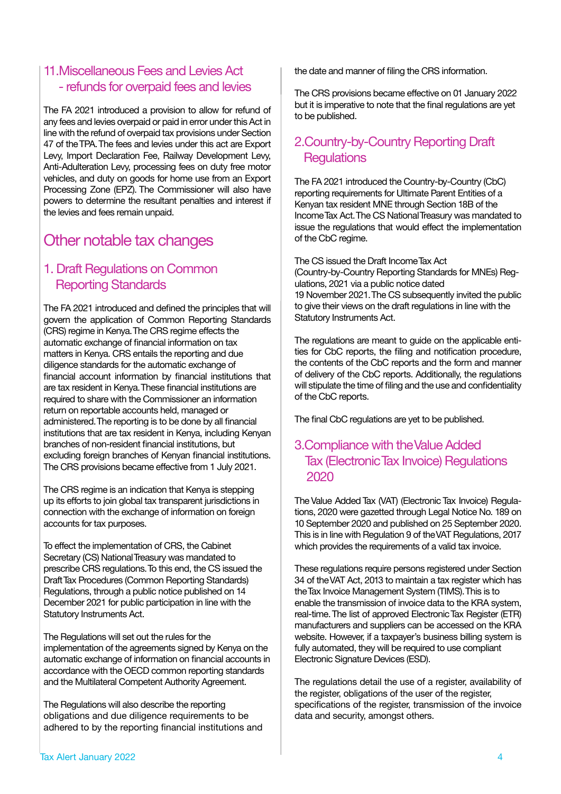## 11.Miscellaneous Fees and Levies Act - refunds for overpaid fees and levies

The FA 2021 introduced a provision to allow for refund of any fees and levies overpaid or paid in error under this Act in line with the refund of overpaid tax provisions under Section 47 of the TPA. The fees and levies under this act are Export Levy, Import Declaration Fee, Railway Development Levy, Anti-Adulteration Levy, processing fees on duty free motor vehicles, and duty on goods for home use from an Export Processing Zone (EPZ). The Commissioner will also have powers to determine the resultant penalties and interest if the levies and fees remain unpaid.

## Other notable tax changes

## 1. Draft Regulations on Common Reporting Standards

The FA 2021 introduced and defined the principles that will govern the application of Common Reporting Standards (CRS) regime in Kenya. The CRS regime effects the automatic exchange of financial information on tax matters in Kenya. CRS entails the reporting and due diligence standards for the automatic exchange of financial account information by financial institutions that are tax resident in Kenya. These financial institutions are required to share with the Commissioner an information return on reportable accounts held, managed or administered. The reporting is to be done by all financial institutions that are tax resident in Kenya, including Kenyan branches of non-resident financial institutions, but excluding foreign branches of Kenyan financial institutions. The CRS provisions became effective from 1 July 2021.

The CRS regime is an indication that Kenya is stepping up its efforts to join global tax transparent jurisdictions in connection with the exchange of information on foreign accounts for tax purposes.

To effect the implementation of CRS, the Cabinet Secretary (CS) National Treasury was mandated to prescribe CRS regulations. To this end, the CS issued the Draft Tax Procedures (Common Reporting Standards) Regulations, through a public notice published on 14 December 2021 for public participation in line with the Statutory Instruments Act.

The Regulations will set out the rules for the implementation of the agreements signed by Kenya on the automatic exchange of information on financial accounts in accordance with the OECD common reporting standards and the Multilateral Competent Authority Agreement.

The Regulations will also describe the reporting obligations and due diligence requirements to be adhered to by the reporting financial institutions and the date and manner of filing the CRS information.

The CRS provisions became effective on 01 January 2022 but it is imperative to note that the final regulations are yet to be published.

## 2.Country-by-Country Reporting Draft **Regulations**

The FA 2021 introduced the Country-by-Country (CbC) reporting requirements for Ultimate Parent Entities of a Kenyan tax resident MNE through Section 18B of the Income Tax Act. The CS National Treasury was mandated to issue the regulations that would effect the implementation of the CbC regime.

The CS issued the Draft Income Tax Act (Country-by-Country Reporting Standards for MNEs) Regulations, 2021 via a public notice dated 19 November 2021. The CS subsequently invited the public to give their views on the draft regulations in line with the Statutory Instruments Act.

The regulations are meant to guide on the applicable entities for CbC reports, the filing and notification procedure, the contents of the CbC reports and the form and manner of delivery of the CbC reports. Additionally, the regulations will stipulate the time of filing and the use and confidentiality of the CbC reports.

The final CbC regulations are yet to be published.

## 3.Compliance with the Value Added Tax (Electronic Tax Invoice) Regulations 2020

The Value Added Tax (VAT) (Electronic Tax Invoice) Regulations, 2020 were gazetted through Legal Notice No. 189 on 10 September 2020 and published on 25 September 2020. This is in line with Regulation 9 of the VAT Regulations, 2017 which provides the requirements of a valid tax invoice.

These regulations require persons registered under Section 34 of the VAT Act, 2013 to maintain a tax register which has the Tax Invoice Management System (TIMS). This is to enable the transmission of invoice data to the KRA system, real-time. The list of approved Electronic Tax Register (ETR) manufacturers and suppliers can be accessed on the KRA website. However, if a taxpayer's business billing system is fully automated, they will be required to use compliant Electronic Signature Devices (ESD).

The regulations detail the use of a register, availability of the register, obligations of the user of the register, specifications of the register, transmission of the invoice data and security, amongst others.